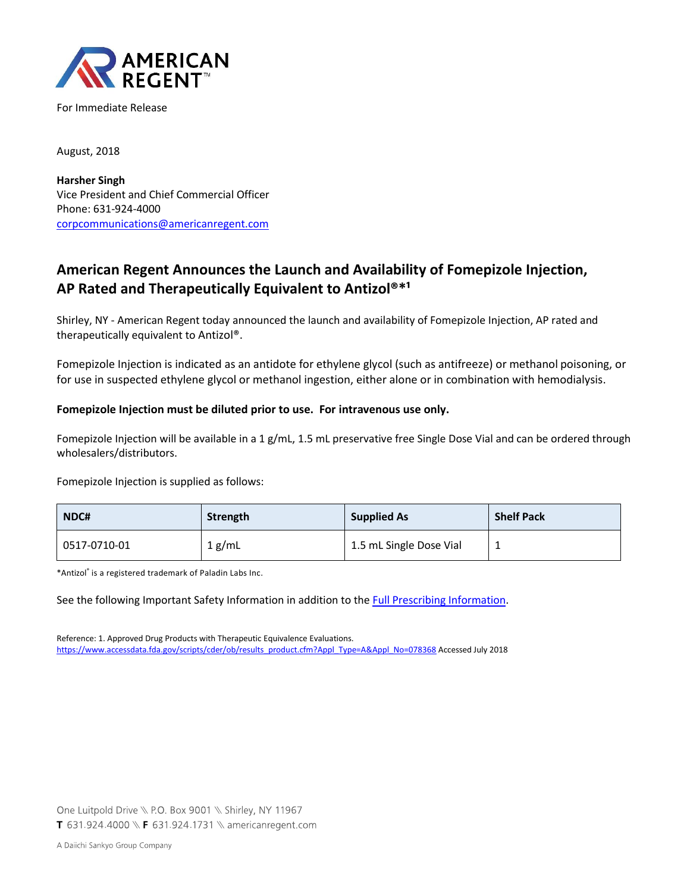

For Immediate Release

August, 2018

**Harsher Singh** Vice President and Chief Commercial Officer Phone: 631-924-4000 [corpcommunications@americanregent.com](mailto:corpcommunications@americanregent.com)

# **American Regent Announces the Launch and Availability of Fomepizole Injection,** AP Rated and Therapeutically Equivalent to Antizol®\*<sup>1</sup>

Shirley, NY - American Regent today announced the launch and availability of Fomepizole Injection, AP rated and therapeutically equivalent to Antizol®.

Fomepizole Injection is indicated as an antidote for ethylene glycol (such as antifreeze) or methanol poisoning, or for use in suspected ethylene glycol or methanol ingestion, either alone or in combination with hemodialysis.

#### **Fomepizole Injection must be diluted prior to use. For intravenous use only.**

Fomepizole Injection will be available in a 1 g/mL, 1.5 mL preservative free Single Dose Vial and can be ordered through wholesalers/distributors.

Fomepizole Injection is supplied as follows:

| NDC#         | Strength | <b>Supplied As</b>      | <b>Shelf Pack</b> |
|--------------|----------|-------------------------|-------------------|
| 0517-0710-01 | 1 g/mL   | 1.5 mL Single Dose Vial | $\mathbf{1}$      |

\*Antizol® is a registered trademark of Paladin Labs Inc.

See the following Important Safety Information in addition to th[e Full Prescribing Information.](http://www.americanregent.com/pdf/Fomepizole_Insert_Rev_3-18.pdf)

Reference: 1. Approved Drug Products with Therapeutic Equivalence Evaluations. [https://www.accessdata.fda.gov/scripts/cder/ob/results\\_product.cfm?Appl\\_Type=A&Appl\\_No=078368](https://www.accessdata.fda.gov/scripts/cder/ob/results_product.cfm?Appl_Type=A&Appl_No=078368) Accessed July 2018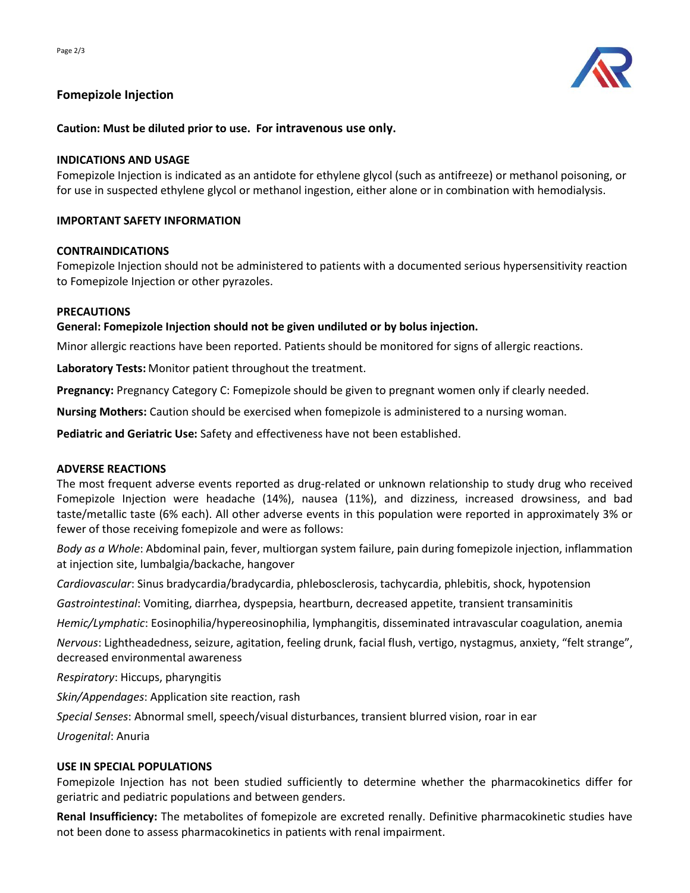# **Fomepizole Injection**



# **Caution: Must be diluted prior to use. For intravenous use only.**

#### **INDICATIONS AND USAGE**

Fomepizole Injection is indicated as an antidote for ethylene glycol (such as antifreeze) or methanol poisoning, or for use in suspected ethylene glycol or methanol ingestion, either alone or in combination with hemodialysis.

#### **IMPORTANT SAFETY INFORMATION**

#### **CONTRAINDICATIONS**

Fomepizole Injection should not be administered to patients with a documented serious hypersensitivity reaction to Fomepizole Injection or other pyrazoles.

#### **PRECAUTIONS**

#### **General: Fomepizole Injection should not be given undiluted or by bolus injection.**

Minor allergic reactions have been reported. Patients should be monitored for signs of allergic reactions.

**Laboratory Tests:** Monitor patient throughout the treatment.

**Pregnancy:** Pregnancy Category C: Fomepizole should be given to pregnant women only if clearly needed.

**Nursing Mothers:** Caution should be exercised when fomepizole is administered to a nursing woman.

**Pediatric and Geriatric Use:** Safety and effectiveness have not been established.

#### **ADVERSE REACTIONS**

The most frequent adverse events reported as drug-related or unknown relationship to study drug who received Fomepizole Injection were headache (14%), nausea (11%), and dizziness, increased drowsiness, and bad taste/metallic taste (6% each). All other adverse events in this population were reported in approximately 3% or fewer of those receiving fomepizole and were as follows:

*Body as a Whole*: Abdominal pain, fever, multiorgan system failure, pain during fomepizole injection, inflammation at injection site, lumbalgia/backache, hangover

*Cardiovascular*: Sinus bradycardia/bradycardia, phlebosclerosis, tachycardia, phlebitis, shock, hypotension

*Gastrointestinal*: Vomiting, diarrhea, dyspepsia, heartburn, decreased appetite, transient transaminitis

*Hemic/Lymphatic*: Eosinophilia/hypereosinophilia, lymphangitis, disseminated intravascular coagulation, anemia

*Nervous*: Lightheadedness, seizure, agitation, feeling drunk, facial flush, vertigo, nystagmus, anxiety, "felt strange", decreased environmental awareness

*Respiratory*: Hiccups, pharyngitis

*Skin/Appendages*: Application site reaction, rash

*Special Senses*: Abnormal smell, speech/visual disturbances, transient blurred vision, roar in ear

*Urogenital*: Anuria

# **USE IN SPECIAL POPULATIONS**

Fomepizole Injection has not been studied sufficiently to determine whether the pharmacokinetics differ for geriatric and pediatric populations and between genders.

**Renal Insufficiency:** The metabolites of fomepizole are excreted renally. Definitive pharmacokinetic studies have not been done to assess pharmacokinetics in patients with renal impairment.